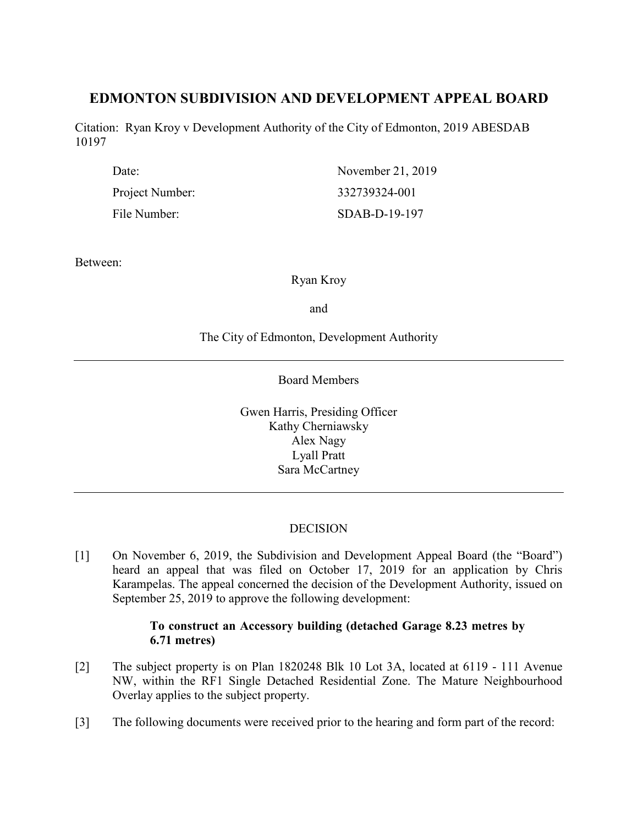# **EDMONTON SUBDIVISION AND DEVELOPMENT APPEAL BOARD**

Citation: Ryan Kroy v Development Authority of the City of Edmonton, 2019 ABESDAB 10197

| Date:           | November 21, 2019 |
|-----------------|-------------------|
| Project Number: | 332739324-001     |
| File Number:    | $SDAB-D-19-197$   |

Between:

Ryan Kroy

and

The City of Edmonton, Development Authority

Board Members

Gwen Harris, Presiding Officer Kathy Cherniawsky Alex Nagy Lyall Pratt Sara McCartney

# **DECISION**

[1] On November 6, 2019, the Subdivision and Development Appeal Board (the "Board") heard an appeal that was filed on October 17, 2019 for an application by Chris Karampelas. The appeal concerned the decision of the Development Authority, issued on September 25, 2019 to approve the following development:

# **To construct an Accessory building (detached Garage 8.23 metres by 6.71 metres)**

- [2] The subject property is on Plan 1820248 Blk 10 Lot 3A, located at 6119 111 Avenue NW, within the RF1 Single Detached Residential Zone. The Mature Neighbourhood Overlay applies to the subject property.
- [3] The following documents were received prior to the hearing and form part of the record: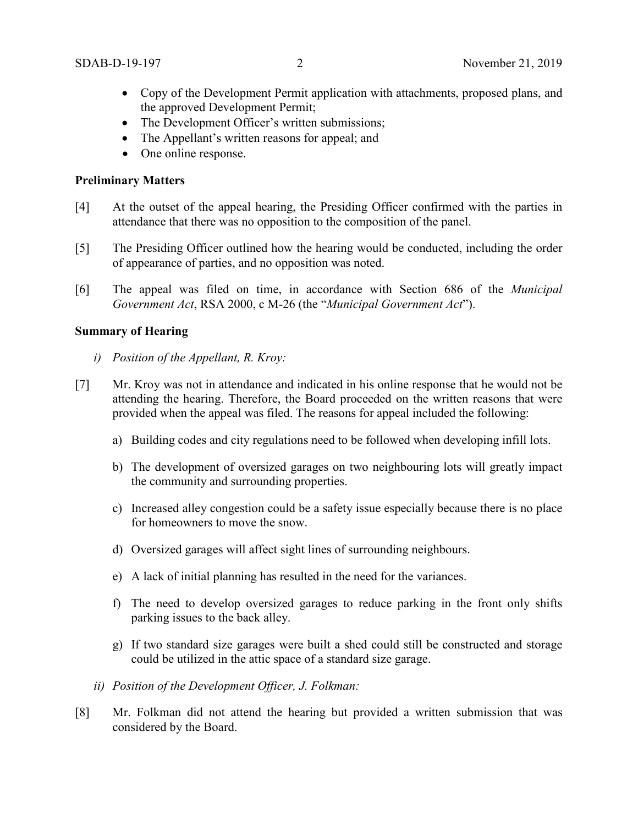- Copy of the Development Permit application with attachments, proposed plans, and the approved Development Permit;
- The Development Officer's written submissions;
- The Appellant's written reasons for appeal; and
- One online response.

# **Preliminary Matters**

- [4] At the outset of the appeal hearing, the Presiding Officer confirmed with the parties in attendance that there was no opposition to the composition of the panel.
- [5] The Presiding Officer outlined how the hearing would be conducted, including the order of appearance of parties, and no opposition was noted.
- [6] The appeal was filed on time, in accordance with Section 686 of the *Municipal Government Act*, RSA 2000, c M-26 (the "*Municipal Government Act*").

### **Summary of Hearing**

- *i) Position of the Appellant, R. Kroy:*
- [7] Mr. Kroy was not in attendance and indicated in his online response that he would not be attending the hearing. Therefore, the Board proceeded on the written reasons that were provided when the appeal was filed. The reasons for appeal included the following:
	- a) Building codes and city regulations need to be followed when developing infill lots.
	- b) The development of oversized garages on two neighbouring lots will greatly impact the community and surrounding properties.
	- c) Increased alley congestion could be a safety issue especially because there is no place for homeowners to move the snow.
	- d) Oversized garages will affect sight lines of surrounding neighbours.
	- e) A lack of initial planning has resulted in the need for the variances.
	- f) The need to develop oversized garages to reduce parking in the front only shifts parking issues to the back alley.
	- g) If two standard size garages were built a shed could still be constructed and storage could be utilized in the attic space of a standard size garage.
	- *ii) Position of the Development Officer, J. Folkman:*
- [8] Mr. Folkman did not attend the hearing but provided a written submission that was considered by the Board.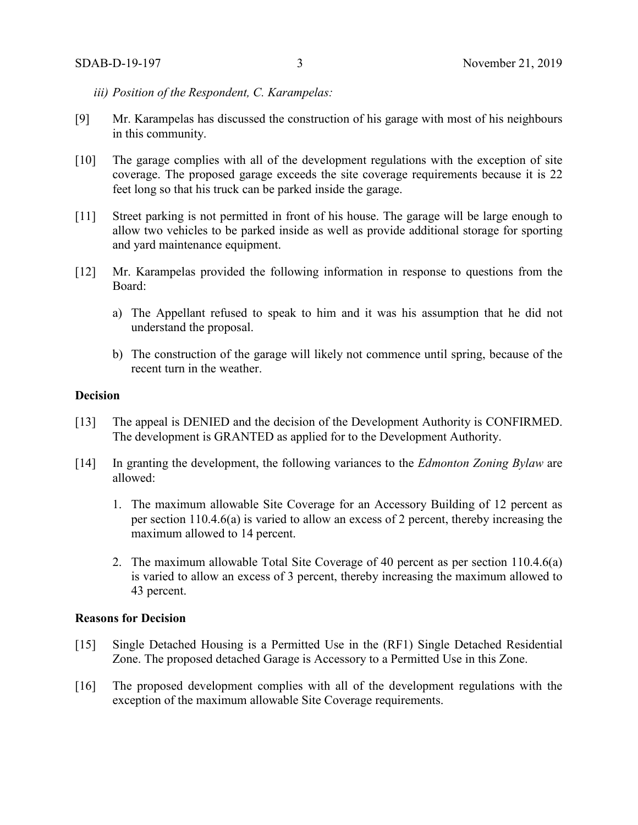- *iii) Position of the Respondent, C. Karampelas:*
- [9] Mr. Karampelas has discussed the construction of his garage with most of his neighbours in this community.
- [10] The garage complies with all of the development regulations with the exception of site coverage. The proposed garage exceeds the site coverage requirements because it is 22 feet long so that his truck can be parked inside the garage.
- [11] Street parking is not permitted in front of his house. The garage will be large enough to allow two vehicles to be parked inside as well as provide additional storage for sporting and yard maintenance equipment.
- [12] Mr. Karampelas provided the following information in response to questions from the Board:
	- a) The Appellant refused to speak to him and it was his assumption that he did not understand the proposal.
	- b) The construction of the garage will likely not commence until spring, because of the recent turn in the weather.

# **Decision**

- [13] The appeal is DENIED and the decision of the Development Authority is CONFIRMED. The development is GRANTED as applied for to the Development Authority.
- [14] In granting the development, the following variances to the *Edmonton Zoning Bylaw* are allowed:
	- 1. The maximum allowable Site Coverage for an Accessory Building of 12 percent as per section 110.4.6(a) is varied to allow an excess of 2 percent, thereby increasing the maximum allowed to 14 percent.
	- 2. The maximum allowable Total Site Coverage of 40 percent as per section 110.4.6(a) is varied to allow an excess of 3 percent, thereby increasing the maximum allowed to 43 percent.

#### **Reasons for Decision**

- [15] Single Detached Housing is a Permitted Use in the (RF1) Single Detached Residential Zone. The proposed detached Garage is Accessory to a Permitted Use in this Zone.
- [16] The proposed development complies with all of the development regulations with the exception of the maximum allowable Site Coverage requirements.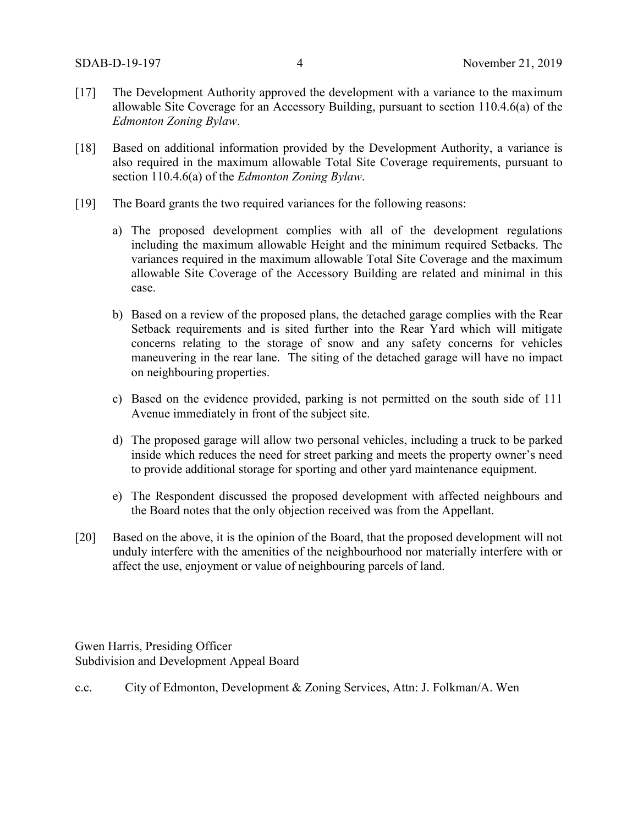- [17] The Development Authority approved the development with a variance to the maximum allowable Site Coverage for an Accessory Building, pursuant to section 110.4.6(a) of the *Edmonton Zoning Bylaw*.
- [18] Based on additional information provided by the Development Authority, a variance is also required in the maximum allowable Total Site Coverage requirements, pursuant to section 110.4.6(a) of the *Edmonton Zoning Bylaw*.
- [19] The Board grants the two required variances for the following reasons:
	- a) The proposed development complies with all of the development regulations including the maximum allowable Height and the minimum required Setbacks. The variances required in the maximum allowable Total Site Coverage and the maximum allowable Site Coverage of the Accessory Building are related and minimal in this case.
	- b) Based on a review of the proposed plans, the detached garage complies with the Rear Setback requirements and is sited further into the Rear Yard which will mitigate concerns relating to the storage of snow and any safety concerns for vehicles maneuvering in the rear lane. The siting of the detached garage will have no impact on neighbouring properties.
	- c) Based on the evidence provided, parking is not permitted on the south side of 111 Avenue immediately in front of the subject site.
	- d) The proposed garage will allow two personal vehicles, including a truck to be parked inside which reduces the need for street parking and meets the property owner's need to provide additional storage for sporting and other yard maintenance equipment.
	- e) The Respondent discussed the proposed development with affected neighbours and the Board notes that the only objection received was from the Appellant.
- [20] Based on the above, it is the opinion of the Board, that the proposed development will not unduly interfere with the amenities of the neighbourhood nor materially interfere with or affect the use, enjoyment or value of neighbouring parcels of land.

Gwen Harris, Presiding Officer Subdivision and Development Appeal Board

c.c. City of Edmonton, Development & Zoning Services, Attn: J. Folkman/A. Wen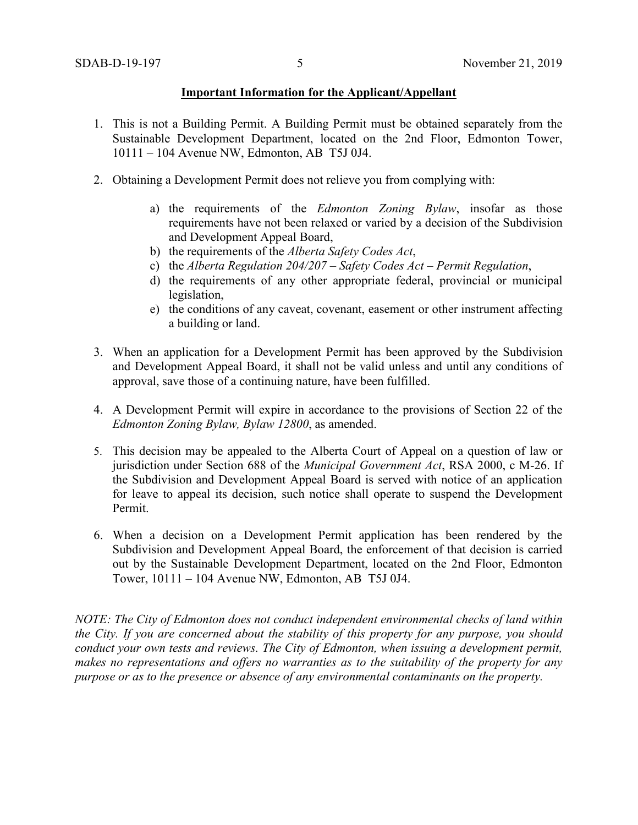#### **Important Information for the Applicant/Appellant**

- 1. This is not a Building Permit. A Building Permit must be obtained separately from the Sustainable Development Department, located on the 2nd Floor, Edmonton Tower, 10111 – 104 Avenue NW, Edmonton, AB T5J 0J4.
- 2. Obtaining a Development Permit does not relieve you from complying with:
	- a) the requirements of the *Edmonton Zoning Bylaw*, insofar as those requirements have not been relaxed or varied by a decision of the Subdivision and Development Appeal Board,
	- b) the requirements of the *Alberta Safety Codes Act*,
	- c) the *Alberta Regulation 204/207 – Safety Codes Act – Permit Regulation*,
	- d) the requirements of any other appropriate federal, provincial or municipal legislation,
	- e) the conditions of any caveat, covenant, easement or other instrument affecting a building or land.
- 3. When an application for a Development Permit has been approved by the Subdivision and Development Appeal Board, it shall not be valid unless and until any conditions of approval, save those of a continuing nature, have been fulfilled.
- 4. A Development Permit will expire in accordance to the provisions of Section 22 of the *Edmonton Zoning Bylaw, Bylaw 12800*, as amended.
- 5. This decision may be appealed to the Alberta Court of Appeal on a question of law or jurisdiction under Section 688 of the *Municipal Government Act*, RSA 2000, c M-26. If the Subdivision and Development Appeal Board is served with notice of an application for leave to appeal its decision, such notice shall operate to suspend the Development Permit.
- 6. When a decision on a Development Permit application has been rendered by the Subdivision and Development Appeal Board, the enforcement of that decision is carried out by the Sustainable Development Department, located on the 2nd Floor, Edmonton Tower, 10111 – 104 Avenue NW, Edmonton, AB T5J 0J4.

*NOTE: The City of Edmonton does not conduct independent environmental checks of land within the City. If you are concerned about the stability of this property for any purpose, you should conduct your own tests and reviews. The City of Edmonton, when issuing a development permit, makes no representations and offers no warranties as to the suitability of the property for any purpose or as to the presence or absence of any environmental contaminants on the property.*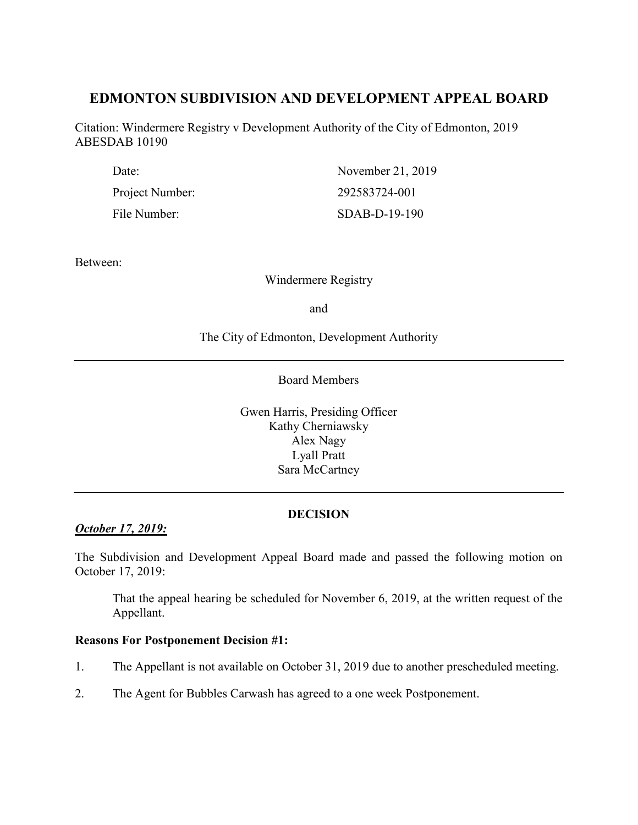# **EDMONTON SUBDIVISION AND DEVELOPMENT APPEAL BOARD**

Citation: Windermere Registry v Development Authority of the City of Edmonton, 2019 ABESDAB 10190

| Date:           | November 21, 2019 |
|-----------------|-------------------|
| Project Number: | 292583724-001     |
| File Number:    | $SDAB-D-19-190$   |

Between:

Windermere Registry

and

The City of Edmonton, Development Authority

Board Members

Gwen Harris, Presiding Officer Kathy Cherniawsky Alex Nagy Lyall Pratt Sara McCartney

# **DECISION**

*October 17, 2019:*

The Subdivision and Development Appeal Board made and passed the following motion on October 17, 2019:

That the appeal hearing be scheduled for November 6, 2019, at the written request of the Appellant.

#### **Reasons For Postponement Decision #1:**

- 1. The Appellant is not available on October 31, 2019 due to another prescheduled meeting.
- 2. The Agent for Bubbles Carwash has agreed to a one week Postponement.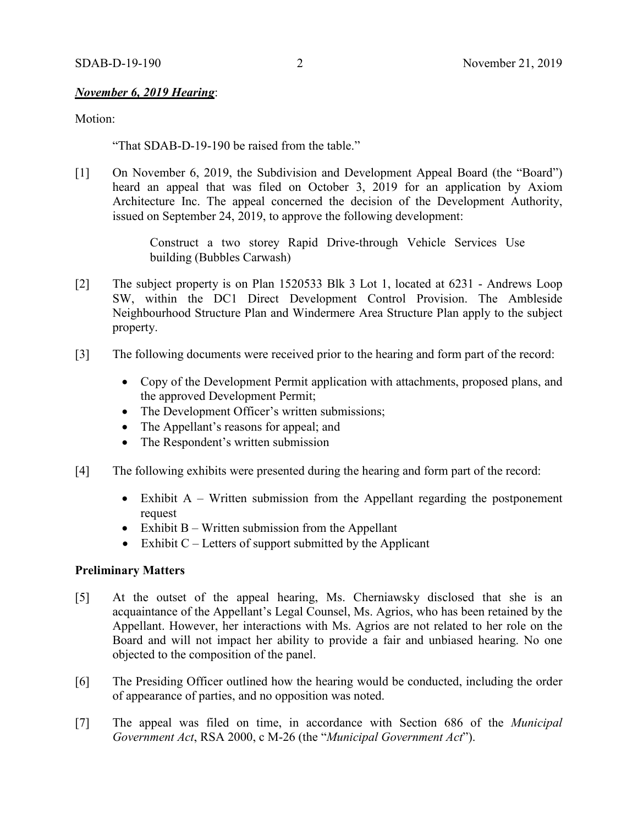# *November 6, 2019 Hearing*:

Motion:

"That SDAB-D-19-190 be raised from the table."

[1] On November 6, 2019, the Subdivision and Development Appeal Board (the "Board") heard an appeal that was filed on October 3, 2019 for an application by Axiom Architecture Inc. The appeal concerned the decision of the Development Authority, issued on September 24, 2019, to approve the following development:

> Construct a two storey Rapid Drive-through Vehicle Services Use building (Bubbles Carwash)

- [2] The subject property is on Plan 1520533 Blk 3 Lot 1, located at 6231 Andrews Loop SW, within the DC1 Direct Development Control Provision. The Ambleside Neighbourhood Structure Plan and Windermere Area Structure Plan apply to the subject property.
- [3] The following documents were received prior to the hearing and form part of the record:
	- Copy of the Development Permit application with attachments, proposed plans, and the approved Development Permit;
	- The Development Officer's written submissions;
	- The Appellant's reasons for appeal; and
	- The Respondent's written submission
- [4] The following exhibits were presented during the hearing and form part of the record:
	- Exhibit  $A W$ ritten submission from the Appellant regarding the postponement request
	- Exhibit B Written submission from the Appellant
	- Exhibit  $C$  Letters of support submitted by the Applicant

# **Preliminary Matters**

- [5] At the outset of the appeal hearing, Ms. Cherniawsky disclosed that she is an acquaintance of the Appellant's Legal Counsel, Ms. Agrios, who has been retained by the Appellant. However, her interactions with Ms. Agrios are not related to her role on the Board and will not impact her ability to provide a fair and unbiased hearing. No one objected to the composition of the panel.
- [6] The Presiding Officer outlined how the hearing would be conducted, including the order of appearance of parties, and no opposition was noted.
- [7] The appeal was filed on time, in accordance with Section 686 of the *Municipal Government Act*, RSA 2000, c M-26 (the "*Municipal Government Act*").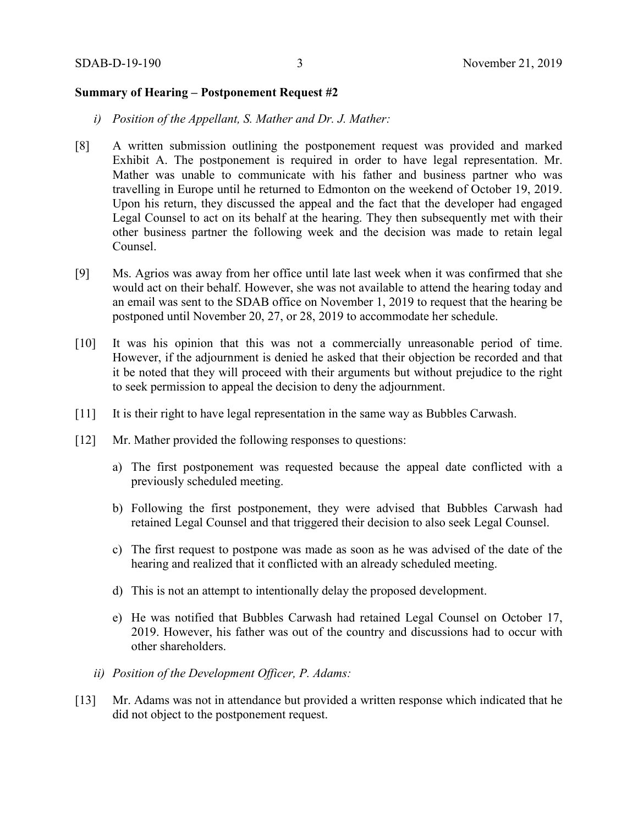#### **Summary of Hearing – Postponement Request #2**

- *i) Position of the Appellant, S. Mather and Dr. J. Mather:*
- [8] A written submission outlining the postponement request was provided and marked Exhibit A. The postponement is required in order to have legal representation. Mr. Mather was unable to communicate with his father and business partner who was travelling in Europe until he returned to Edmonton on the weekend of October 19, 2019. Upon his return, they discussed the appeal and the fact that the developer had engaged Legal Counsel to act on its behalf at the hearing. They then subsequently met with their other business partner the following week and the decision was made to retain legal Counsel.
- [9] Ms. Agrios was away from her office until late last week when it was confirmed that she would act on their behalf. However, she was not available to attend the hearing today and an email was sent to the SDAB office on November 1, 2019 to request that the hearing be postponed until November 20, 27, or 28, 2019 to accommodate her schedule.
- [10] It was his opinion that this was not a commercially unreasonable period of time. However, if the adjournment is denied he asked that their objection be recorded and that it be noted that they will proceed with their arguments but without prejudice to the right to seek permission to appeal the decision to deny the adjournment.
- [11] It is their right to have legal representation in the same way as Bubbles Carwash.
- [12] Mr. Mather provided the following responses to questions:
	- a) The first postponement was requested because the appeal date conflicted with a previously scheduled meeting.
	- b) Following the first postponement, they were advised that Bubbles Carwash had retained Legal Counsel and that triggered their decision to also seek Legal Counsel.
	- c) The first request to postpone was made as soon as he was advised of the date of the hearing and realized that it conflicted with an already scheduled meeting.
	- d) This is not an attempt to intentionally delay the proposed development.
	- e) He was notified that Bubbles Carwash had retained Legal Counsel on October 17, 2019. However, his father was out of the country and discussions had to occur with other shareholders.
	- *ii) Position of the Development Officer, P. Adams:*
- [13] Mr. Adams was not in attendance but provided a written response which indicated that he did not object to the postponement request.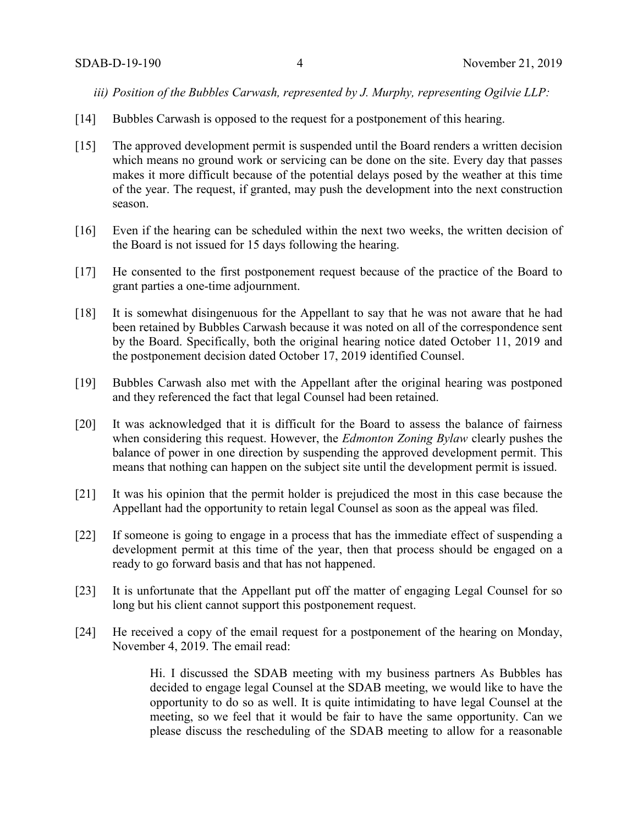*iii) Position of the Bubbles Carwash, represented by J. Murphy, representing Ogilvie LLP:*

- [14] Bubbles Carwash is opposed to the request for a postponement of this hearing.
- [15] The approved development permit is suspended until the Board renders a written decision which means no ground work or servicing can be done on the site. Every day that passes makes it more difficult because of the potential delays posed by the weather at this time of the year. The request, if granted, may push the development into the next construction season.
- [16] Even if the hearing can be scheduled within the next two weeks, the written decision of the Board is not issued for 15 days following the hearing.
- [17] He consented to the first postponement request because of the practice of the Board to grant parties a one-time adjournment.
- [18] It is somewhat disingenuous for the Appellant to say that he was not aware that he had been retained by Bubbles Carwash because it was noted on all of the correspondence sent by the Board. Specifically, both the original hearing notice dated October 11, 2019 and the postponement decision dated October 17, 2019 identified Counsel.
- [19] Bubbles Carwash also met with the Appellant after the original hearing was postponed and they referenced the fact that legal Counsel had been retained.
- [20] It was acknowledged that it is difficult for the Board to assess the balance of fairness when considering this request. However, the *Edmonton Zoning Bylaw* clearly pushes the balance of power in one direction by suspending the approved development permit. This means that nothing can happen on the subject site until the development permit is issued.
- [21] It was his opinion that the permit holder is prejudiced the most in this case because the Appellant had the opportunity to retain legal Counsel as soon as the appeal was filed.
- [22] If someone is going to engage in a process that has the immediate effect of suspending a development permit at this time of the year, then that process should be engaged on a ready to go forward basis and that has not happened.
- [23] It is unfortunate that the Appellant put off the matter of engaging Legal Counsel for so long but his client cannot support this postponement request.
- [24] He received a copy of the email request for a postponement of the hearing on Monday, November 4, 2019. The email read:

Hi. I discussed the SDAB meeting with my business partners As Bubbles has decided to engage legal Counsel at the SDAB meeting, we would like to have the opportunity to do so as well. It is quite intimidating to have legal Counsel at the meeting, so we feel that it would be fair to have the same opportunity. Can we please discuss the rescheduling of the SDAB meeting to allow for a reasonable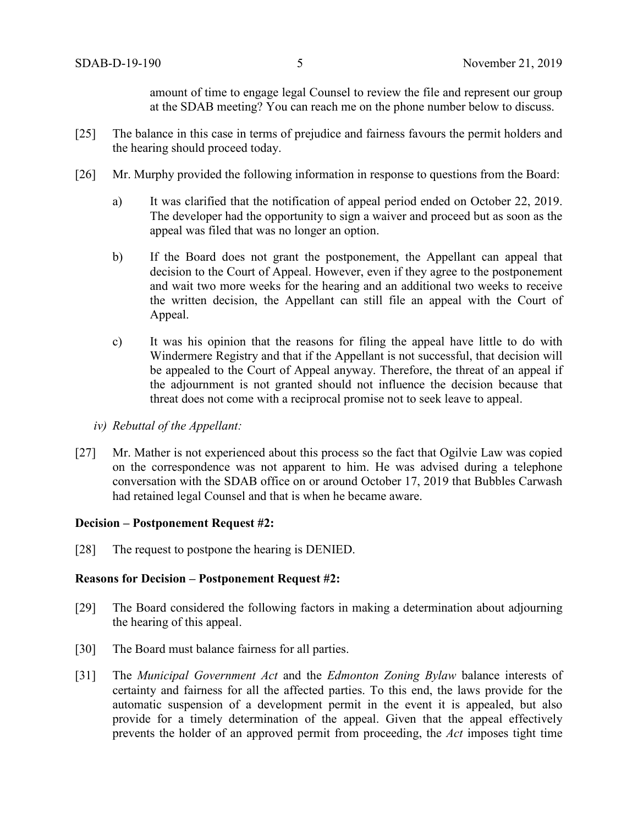amount of time to engage legal Counsel to review the file and represent our group at the SDAB meeting? You can reach me on the phone number below to discuss.

- [25] The balance in this case in terms of prejudice and fairness favours the permit holders and the hearing should proceed today.
- [26] Mr. Murphy provided the following information in response to questions from the Board:
	- a) It was clarified that the notification of appeal period ended on October 22, 2019. The developer had the opportunity to sign a waiver and proceed but as soon as the appeal was filed that was no longer an option.
	- b) If the Board does not grant the postponement, the Appellant can appeal that decision to the Court of Appeal. However, even if they agree to the postponement and wait two more weeks for the hearing and an additional two weeks to receive the written decision, the Appellant can still file an appeal with the Court of Appeal.
	- c) It was his opinion that the reasons for filing the appeal have little to do with Windermere Registry and that if the Appellant is not successful, that decision will be appealed to the Court of Appeal anyway. Therefore, the threat of an appeal if the adjournment is not granted should not influence the decision because that threat does not come with a reciprocal promise not to seek leave to appeal.
	- *iv) Rebuttal of the Appellant:*
- [27] Mr. Mather is not experienced about this process so the fact that Ogilvie Law was copied on the correspondence was not apparent to him. He was advised during a telephone conversation with the SDAB office on or around October 17, 2019 that Bubbles Carwash had retained legal Counsel and that is when he became aware.

#### **Decision – Postponement Request #2:**

[28] The request to postpone the hearing is DENIED.

## **Reasons for Decision – Postponement Request #2:**

- [29] The Board considered the following factors in making a determination about adjourning the hearing of this appeal.
- [30] The Board must balance fairness for all parties.
- [31] The *Municipal Government Act* and the *Edmonton Zoning Bylaw* balance interests of certainty and fairness for all the affected parties. To this end, the laws provide for the automatic suspension of a development permit in the event it is appealed, but also provide for a timely determination of the appeal. Given that the appeal effectively prevents the holder of an approved permit from proceeding, the *Act* imposes tight time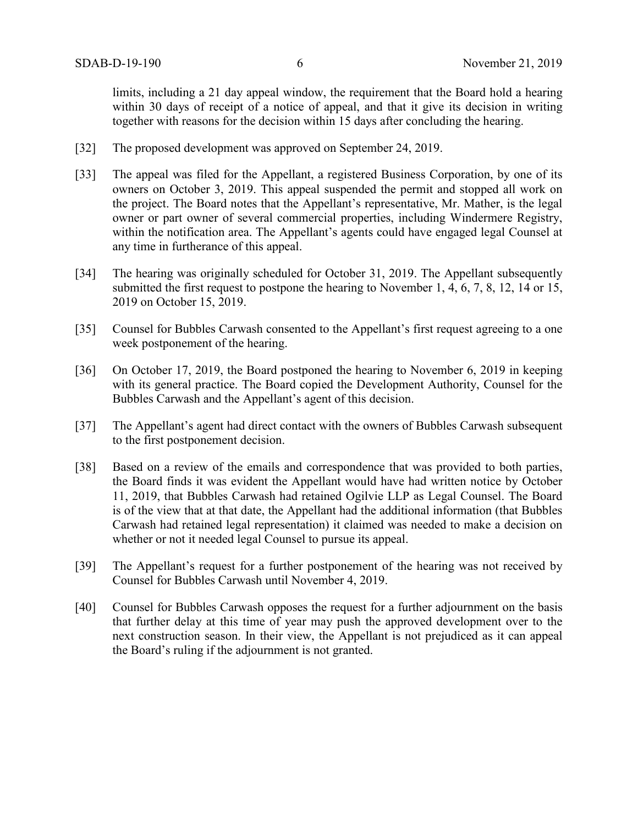limits, including a 21 day appeal window, the requirement that the Board hold a hearing within 30 days of receipt of a notice of appeal, and that it give its decision in writing together with reasons for the decision within 15 days after concluding the hearing.

- [32] The proposed development was approved on September 24, 2019.
- [33] The appeal was filed for the Appellant, a registered Business Corporation, by one of its owners on October 3, 2019. This appeal suspended the permit and stopped all work on the project. The Board notes that the Appellant's representative, Mr. Mather, is the legal owner or part owner of several commercial properties, including Windermere Registry, within the notification area. The Appellant's agents could have engaged legal Counsel at any time in furtherance of this appeal.
- [34] The hearing was originally scheduled for October 31, 2019. The Appellant subsequently submitted the first request to postpone the hearing to November 1, 4, 6, 7, 8, 12, 14 or 15, 2019 on October 15, 2019.
- [35] Counsel for Bubbles Carwash consented to the Appellant's first request agreeing to a one week postponement of the hearing.
- [36] On October 17, 2019, the Board postponed the hearing to November 6, 2019 in keeping with its general practice. The Board copied the Development Authority, Counsel for the Bubbles Carwash and the Appellant's agent of this decision.
- [37] The Appellant's agent had direct contact with the owners of Bubbles Carwash subsequent to the first postponement decision.
- [38] Based on a review of the emails and correspondence that was provided to both parties, the Board finds it was evident the Appellant would have had written notice by October 11, 2019, that Bubbles Carwash had retained Ogilvie LLP as Legal Counsel. The Board is of the view that at that date, the Appellant had the additional information (that Bubbles Carwash had retained legal representation) it claimed was needed to make a decision on whether or not it needed legal Counsel to pursue its appeal.
- [39] The Appellant's request for a further postponement of the hearing was not received by Counsel for Bubbles Carwash until November 4, 2019.
- [40] Counsel for Bubbles Carwash opposes the request for a further adjournment on the basis that further delay at this time of year may push the approved development over to the next construction season. In their view, the Appellant is not prejudiced as it can appeal the Board's ruling if the adjournment is not granted.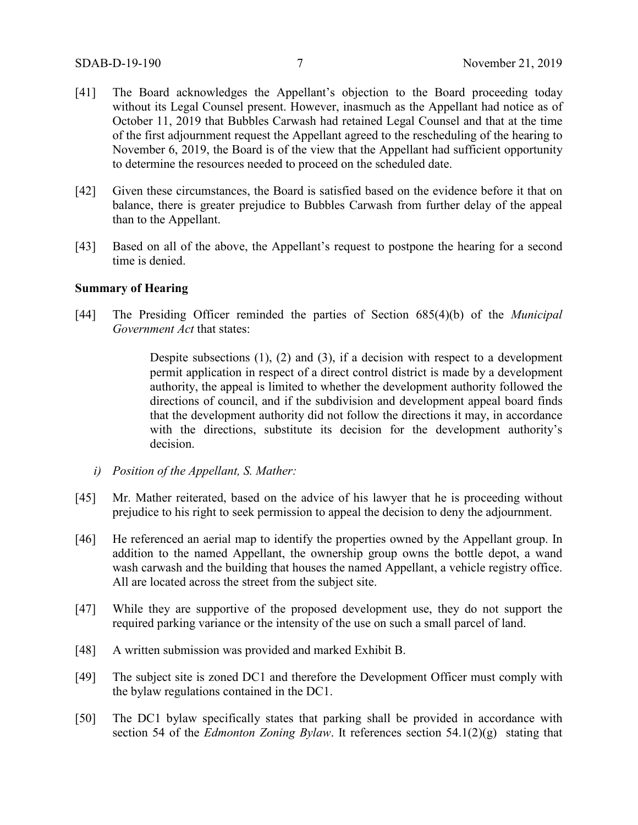- [41] The Board acknowledges the Appellant's objection to the Board proceeding today without its Legal Counsel present. However, inasmuch as the Appellant had notice as of October 11, 2019 that Bubbles Carwash had retained Legal Counsel and that at the time of the first adjournment request the Appellant agreed to the rescheduling of the hearing to November 6, 2019, the Board is of the view that the Appellant had sufficient opportunity to determine the resources needed to proceed on the scheduled date.
- [42] Given these circumstances, the Board is satisfied based on the evidence before it that on balance, there is greater prejudice to Bubbles Carwash from further delay of the appeal than to the Appellant.
- [43] Based on all of the above, the Appellant's request to postpone the hearing for a second time is denied.

# **Summary of Hearing**

[44] The Presiding Officer reminded the parties of Section 685(4)(b) of the *Municipal Government Act* that states:

> Despite subsections (1), (2) and (3), if a decision with respect to a development permit application in respect of a direct control district is made by a development authority, the appeal is limited to whether the development authority followed the directions of council, and if the subdivision and development appeal board finds that the development authority did not follow the directions it may, in accordance with the directions, substitute its decision for the development authority's decision.

- *i) Position of the Appellant, S. Mather:*
- [45] Mr. Mather reiterated, based on the advice of his lawyer that he is proceeding without prejudice to his right to seek permission to appeal the decision to deny the adjournment.
- [46] He referenced an aerial map to identify the properties owned by the Appellant group. In addition to the named Appellant, the ownership group owns the bottle depot, a wand wash carwash and the building that houses the named Appellant, a vehicle registry office. All are located across the street from the subject site.
- [47] While they are supportive of the proposed development use, they do not support the required parking variance or the intensity of the use on such a small parcel of land.
- [48] A written submission was provided and marked Exhibit B.
- [49] The subject site is zoned DC1 and therefore the Development Officer must comply with the bylaw regulations contained in the DC1.
- [50] The DC1 bylaw specifically states that parking shall be provided in accordance with section 54 of the *Edmonton Zoning Bylaw*. It references section 54.1(2)(g) stating that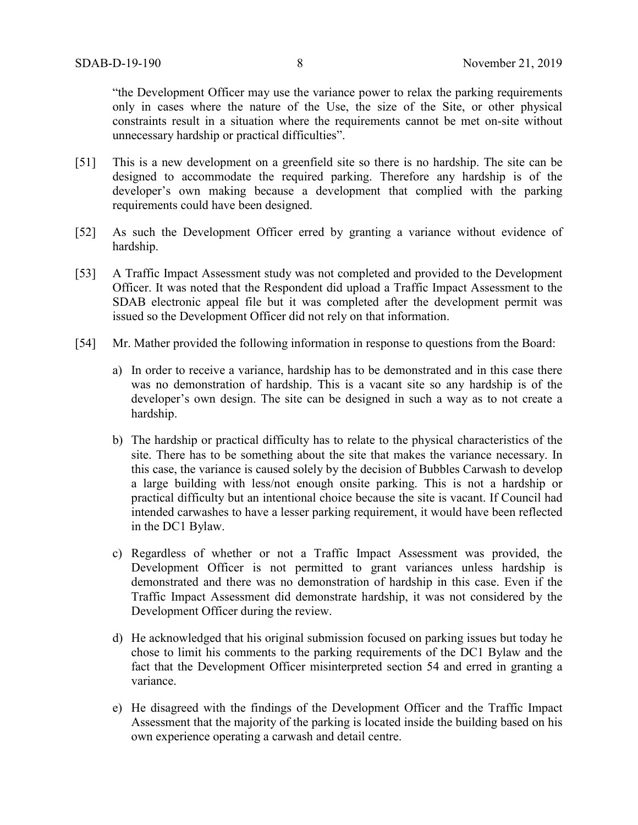"the Development Officer may use the variance power to relax the parking requirements only in cases where the nature of the Use, the size of the Site, or other physical constraints result in a situation where the requirements cannot be met on-site without unnecessary hardship or practical difficulties".

- [51] This is a new development on a greenfield site so there is no hardship. The site can be designed to accommodate the required parking. Therefore any hardship is of the developer's own making because a development that complied with the parking requirements could have been designed.
- [52] As such the Development Officer erred by granting a variance without evidence of hardship.
- [53] A Traffic Impact Assessment study was not completed and provided to the Development Officer. It was noted that the Respondent did upload a Traffic Impact Assessment to the SDAB electronic appeal file but it was completed after the development permit was issued so the Development Officer did not rely on that information.
- [54] Mr. Mather provided the following information in response to questions from the Board:
	- a) In order to receive a variance, hardship has to be demonstrated and in this case there was no demonstration of hardship. This is a vacant site so any hardship is of the developer's own design. The site can be designed in such a way as to not create a hardship.
	- b) The hardship or practical difficulty has to relate to the physical characteristics of the site. There has to be something about the site that makes the variance necessary. In this case, the variance is caused solely by the decision of Bubbles Carwash to develop a large building with less/not enough onsite parking. This is not a hardship or practical difficulty but an intentional choice because the site is vacant. If Council had intended carwashes to have a lesser parking requirement, it would have been reflected in the DC1 Bylaw.
	- c) Regardless of whether or not a Traffic Impact Assessment was provided, the Development Officer is not permitted to grant variances unless hardship is demonstrated and there was no demonstration of hardship in this case. Even if the Traffic Impact Assessment did demonstrate hardship, it was not considered by the Development Officer during the review.
	- d) He acknowledged that his original submission focused on parking issues but today he chose to limit his comments to the parking requirements of the DC1 Bylaw and the fact that the Development Officer misinterpreted section 54 and erred in granting a variance.
	- e) He disagreed with the findings of the Development Officer and the Traffic Impact Assessment that the majority of the parking is located inside the building based on his own experience operating a carwash and detail centre.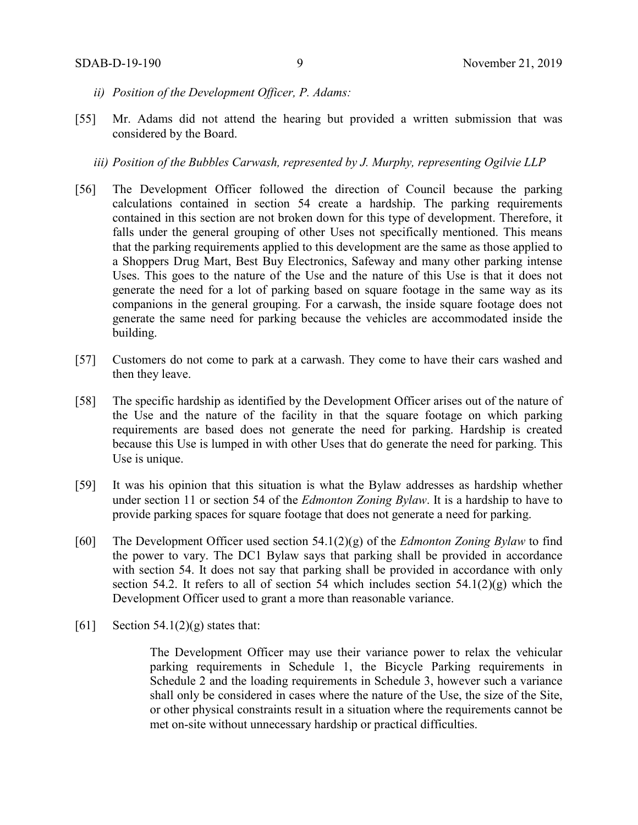- *ii) Position of the Development Officer, P. Adams:*
- [55] Mr. Adams did not attend the hearing but provided a written submission that was considered by the Board.
	- *iii) Position of the Bubbles Carwash, represented by J. Murphy, representing Ogilvie LLP*
- [56] The Development Officer followed the direction of Council because the parking calculations contained in section 54 create a hardship. The parking requirements contained in this section are not broken down for this type of development. Therefore, it falls under the general grouping of other Uses not specifically mentioned. This means that the parking requirements applied to this development are the same as those applied to a Shoppers Drug Mart, Best Buy Electronics, Safeway and many other parking intense Uses. This goes to the nature of the Use and the nature of this Use is that it does not generate the need for a lot of parking based on square footage in the same way as its companions in the general grouping. For a carwash, the inside square footage does not generate the same need for parking because the vehicles are accommodated inside the building.
- [57] Customers do not come to park at a carwash. They come to have their cars washed and then they leave.
- [58] The specific hardship as identified by the Development Officer arises out of the nature of the Use and the nature of the facility in that the square footage on which parking requirements are based does not generate the need for parking. Hardship is created because this Use is lumped in with other Uses that do generate the need for parking. This Use is unique.
- [59] It was his opinion that this situation is what the Bylaw addresses as hardship whether under section 11 or section 54 of the *Edmonton Zoning Bylaw*. It is a hardship to have to provide parking spaces for square footage that does not generate a need for parking.
- [60] The Development Officer used section 54.1(2)(g) of the *Edmonton Zoning Bylaw* to find the power to vary. The DC1 Bylaw says that parking shall be provided in accordance with section 54. It does not say that parking shall be provided in accordance with only section 54.2. It refers to all of section 54 which includes section  $54.1(2)(g)$  which the Development Officer used to grant a more than reasonable variance.
- [61] Section 54.1(2)(g) states that:

The Development Officer may use their variance power to relax the vehicular parking requirements in Schedule 1, the Bicycle Parking requirements in Schedule 2 and the loading requirements in Schedule 3, however such a variance shall only be considered in cases where the nature of the Use, the size of the Site, or other physical constraints result in a situation where the requirements cannot be met on-site without unnecessary hardship or practical difficulties.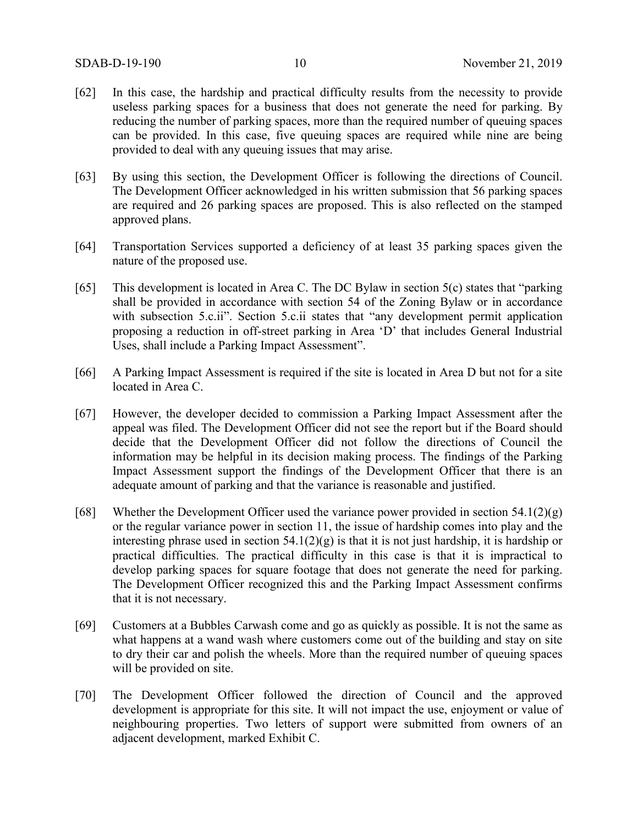- [62] In this case, the hardship and practical difficulty results from the necessity to provide useless parking spaces for a business that does not generate the need for parking. By reducing the number of parking spaces, more than the required number of queuing spaces can be provided. In this case, five queuing spaces are required while nine are being provided to deal with any queuing issues that may arise.
- [63] By using this section, the Development Officer is following the directions of Council. The Development Officer acknowledged in his written submission that 56 parking spaces are required and 26 parking spaces are proposed. This is also reflected on the stamped approved plans.
- [64] Transportation Services supported a deficiency of at least 35 parking spaces given the nature of the proposed use.
- [65] This development is located in Area C. The DC Bylaw in section 5(c) states that "parking shall be provided in accordance with section 54 of the Zoning Bylaw or in accordance with subsection 5.c.ii". Section 5.c.ii states that "any development permit application proposing a reduction in off-street parking in Area 'D' that includes General Industrial Uses, shall include a Parking Impact Assessment".
- [66] A Parking Impact Assessment is required if the site is located in Area D but not for a site located in Area C.
- [67] However, the developer decided to commission a Parking Impact Assessment after the appeal was filed. The Development Officer did not see the report but if the Board should decide that the Development Officer did not follow the directions of Council the information may be helpful in its decision making process. The findings of the Parking Impact Assessment support the findings of the Development Officer that there is an adequate amount of parking and that the variance is reasonable and justified.
- [68] Whether the Development Officer used the variance power provided in section  $54.1(2)(g)$ or the regular variance power in section 11, the issue of hardship comes into play and the interesting phrase used in section  $54.1(2)(g)$  is that it is not just hardship, it is hardship or practical difficulties. The practical difficulty in this case is that it is impractical to develop parking spaces for square footage that does not generate the need for parking. The Development Officer recognized this and the Parking Impact Assessment confirms that it is not necessary.
- [69] Customers at a Bubbles Carwash come and go as quickly as possible. It is not the same as what happens at a wand wash where customers come out of the building and stay on site to dry their car and polish the wheels. More than the required number of queuing spaces will be provided on site.
- [70] The Development Officer followed the direction of Council and the approved development is appropriate for this site. It will not impact the use, enjoyment or value of neighbouring properties. Two letters of support were submitted from owners of an adjacent development, marked Exhibit C.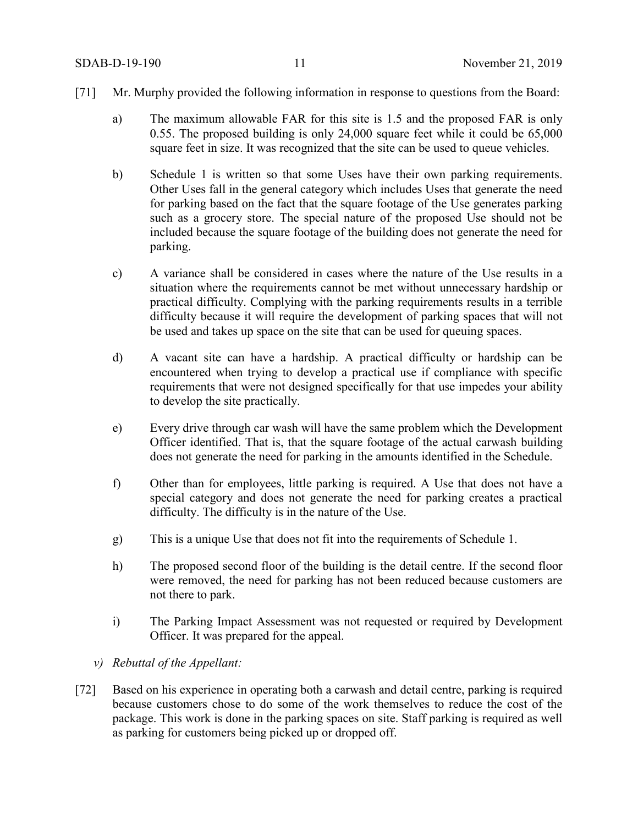- [71] Mr. Murphy provided the following information in response to questions from the Board:
	- a) The maximum allowable FAR for this site is 1.5 and the proposed FAR is only 0.55. The proposed building is only 24,000 square feet while it could be 65,000 square feet in size. It was recognized that the site can be used to queue vehicles.
	- b) Schedule 1 is written so that some Uses have their own parking requirements. Other Uses fall in the general category which includes Uses that generate the need for parking based on the fact that the square footage of the Use generates parking such as a grocery store. The special nature of the proposed Use should not be included because the square footage of the building does not generate the need for parking.
	- c) A variance shall be considered in cases where the nature of the Use results in a situation where the requirements cannot be met without unnecessary hardship or practical difficulty. Complying with the parking requirements results in a terrible difficulty because it will require the development of parking spaces that will not be used and takes up space on the site that can be used for queuing spaces.
	- d) A vacant site can have a hardship. A practical difficulty or hardship can be encountered when trying to develop a practical use if compliance with specific requirements that were not designed specifically for that use impedes your ability to develop the site practically.
	- e) Every drive through car wash will have the same problem which the Development Officer identified. That is, that the square footage of the actual carwash building does not generate the need for parking in the amounts identified in the Schedule.
	- f) Other than for employees, little parking is required. A Use that does not have a special category and does not generate the need for parking creates a practical difficulty. The difficulty is in the nature of the Use.
	- g) This is a unique Use that does not fit into the requirements of Schedule 1.
	- h) The proposed second floor of the building is the detail centre. If the second floor were removed, the need for parking has not been reduced because customers are not there to park.
	- i) The Parking Impact Assessment was not requested or required by Development Officer. It was prepared for the appeal.
	- *v) Rebuttal of the Appellant:*
- [72] Based on his experience in operating both a carwash and detail centre, parking is required because customers chose to do some of the work themselves to reduce the cost of the package. This work is done in the parking spaces on site. Staff parking is required as well as parking for customers being picked up or dropped off.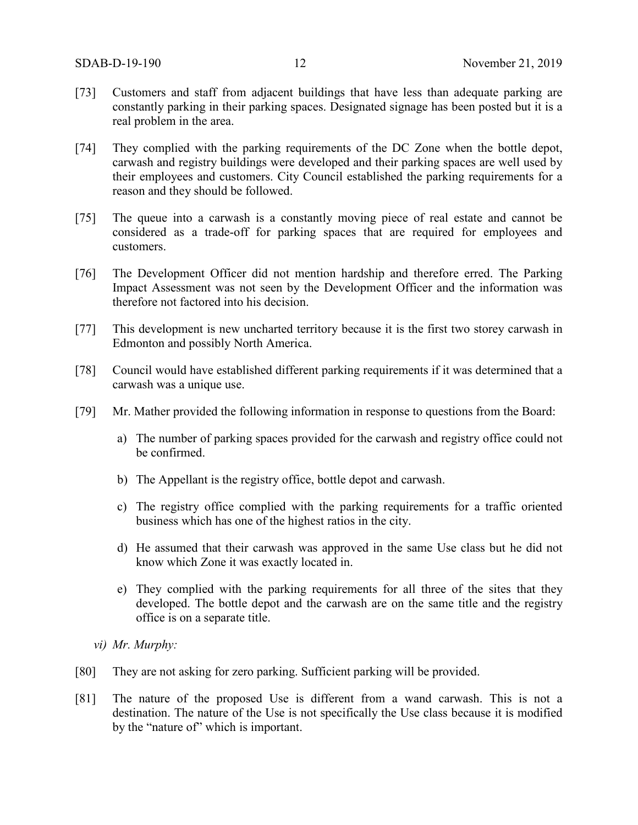- [73] Customers and staff from adjacent buildings that have less than adequate parking are constantly parking in their parking spaces. Designated signage has been posted but it is a real problem in the area.
- [74] They complied with the parking requirements of the DC Zone when the bottle depot, carwash and registry buildings were developed and their parking spaces are well used by their employees and customers. City Council established the parking requirements for a reason and they should be followed.
- [75] The queue into a carwash is a constantly moving piece of real estate and cannot be considered as a trade-off for parking spaces that are required for employees and customers.
- [76] The Development Officer did not mention hardship and therefore erred. The Parking Impact Assessment was not seen by the Development Officer and the information was therefore not factored into his decision.
- [77] This development is new uncharted territory because it is the first two storey carwash in Edmonton and possibly North America.
- [78] Council would have established different parking requirements if it was determined that a carwash was a unique use.
- [79] Mr. Mather provided the following information in response to questions from the Board:
	- a) The number of parking spaces provided for the carwash and registry office could not be confirmed.
	- b) The Appellant is the registry office, bottle depot and carwash.
	- c) The registry office complied with the parking requirements for a traffic oriented business which has one of the highest ratios in the city.
	- d) He assumed that their carwash was approved in the same Use class but he did not know which Zone it was exactly located in.
	- e) They complied with the parking requirements for all three of the sites that they developed. The bottle depot and the carwash are on the same title and the registry office is on a separate title.
	- *vi) Mr. Murphy:*
- [80] They are not asking for zero parking. Sufficient parking will be provided.
- [81] The nature of the proposed Use is different from a wand carwash. This is not a destination. The nature of the Use is not specifically the Use class because it is modified by the "nature of" which is important.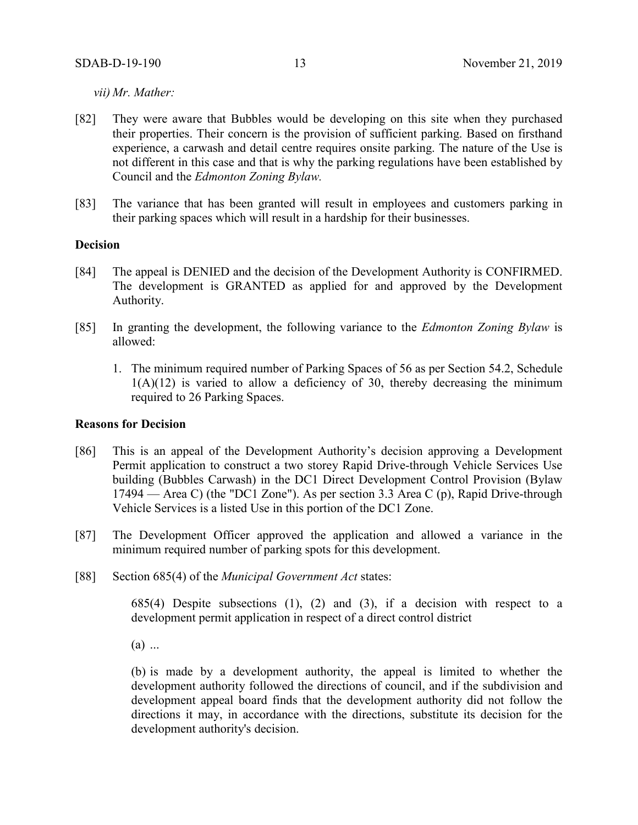*vii) Mr. Mather:*

- [82] They were aware that Bubbles would be developing on this site when they purchased their properties. Their concern is the provision of sufficient parking. Based on firsthand experience, a carwash and detail centre requires onsite parking. The nature of the Use is not different in this case and that is why the parking regulations have been established by Council and the *Edmonton Zoning Bylaw.*
- [83] The variance that has been granted will result in employees and customers parking in their parking spaces which will result in a hardship for their businesses.

#### **Decision**

- [84] The appeal is DENIED and the decision of the Development Authority is CONFIRMED. The development is GRANTED as applied for and approved by the Development Authority.
- [85] In granting the development, the following variance to the *Edmonton Zoning Bylaw* is allowed:
	- 1. The minimum required number of Parking Spaces of 56 as per Section 54.2, Schedule  $1(A)(12)$  is varied to allow a deficiency of 30, thereby decreasing the minimum required to 26 Parking Spaces.

## **Reasons for Decision**

- [86] This is an appeal of the Development Authority's decision approving a Development Permit application to construct a two storey Rapid Drive-through Vehicle Services Use building (Bubbles Carwash) in the DC1 Direct Development Control Provision (Bylaw 17494 — Area C) (the "DC1 Zone"). As per section 3.3 Area C (p), Rapid Drive-through Vehicle Services is a listed Use in this portion of the DC1 Zone.
- [87] The Development Officer approved the application and allowed a variance in the minimum required number of parking spots for this development.
- [88] Section 685(4) of the *Municipal Government Act* states:

685(4) Despite subsections (1), (2) and (3), if a decision with respect to a development permit application in respect of a direct control district

(a) ...

(b) is made by a development authority, the appeal is limited to whether the development authority followed the directions of council, and if the subdivision and development appeal board finds that the development authority did not follow the directions it may, in accordance with the directions, substitute its decision for the development authority's decision.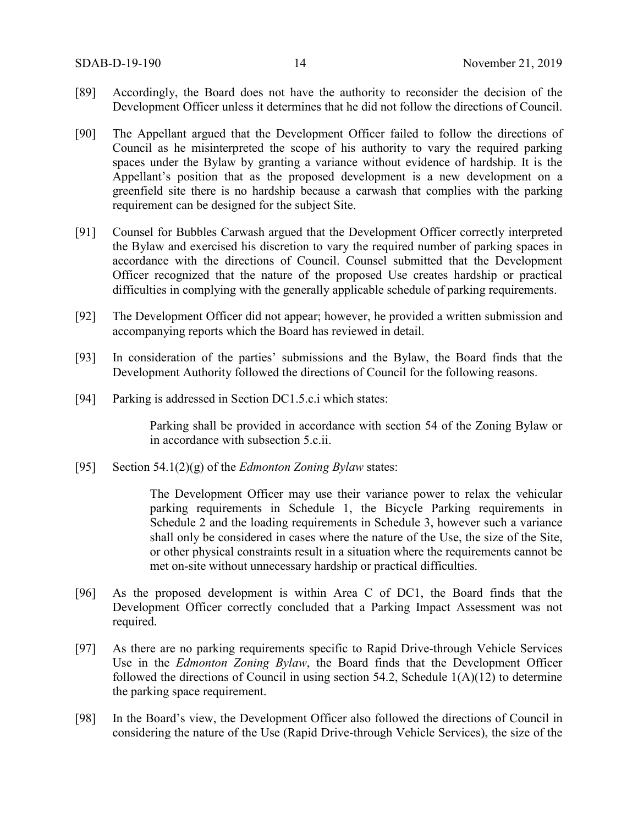- [89] Accordingly, the Board does not have the authority to reconsider the decision of the Development Officer unless it determines that he did not follow the directions of Council.
- [90] The Appellant argued that the Development Officer failed to follow the directions of Council as he misinterpreted the scope of his authority to vary the required parking spaces under the Bylaw by granting a variance without evidence of hardship. It is the Appellant's position that as the proposed development is a new development on a greenfield site there is no hardship because a carwash that complies with the parking requirement can be designed for the subject Site.
- [91] Counsel for Bubbles Carwash argued that the Development Officer correctly interpreted the Bylaw and exercised his discretion to vary the required number of parking spaces in accordance with the directions of Council. Counsel submitted that the Development Officer recognized that the nature of the proposed Use creates hardship or practical difficulties in complying with the generally applicable schedule of parking requirements.
- [92] The Development Officer did not appear; however, he provided a written submission and accompanying reports which the Board has reviewed in detail.
- [93] In consideration of the parties' submissions and the Bylaw, the Board finds that the Development Authority followed the directions of Council for the following reasons.
- [94] Parking is addressed in Section DC1.5.c.i which states:

Parking shall be provided in accordance with section 54 of the Zoning Bylaw or in accordance with subsection 5.c.ii.

[95] Section 54.1(2)(g) of the *Edmonton Zoning Bylaw* states:

The Development Officer may use their variance power to relax the vehicular parking requirements in Schedule 1, the Bicycle Parking requirements in Schedule 2 and the loading requirements in Schedule 3, however such a variance shall only be considered in cases where the nature of the Use, the size of the Site, or other physical constraints result in a situation where the requirements cannot be met on-site without unnecessary hardship or practical difficulties.

- [96] As the proposed development is within Area C of DC1, the Board finds that the Development Officer correctly concluded that a Parking Impact Assessment was not required.
- [97] As there are no parking requirements specific to Rapid Drive-through Vehicle Services Use in the *Edmonton Zoning Bylaw*, the Board finds that the Development Officer followed the directions of Council in using section 54.2, Schedule  $1(A)(12)$  to determine the parking space requirement.
- [98] In the Board's view, the Development Officer also followed the directions of Council in considering the nature of the Use (Rapid Drive-through Vehicle Services), the size of the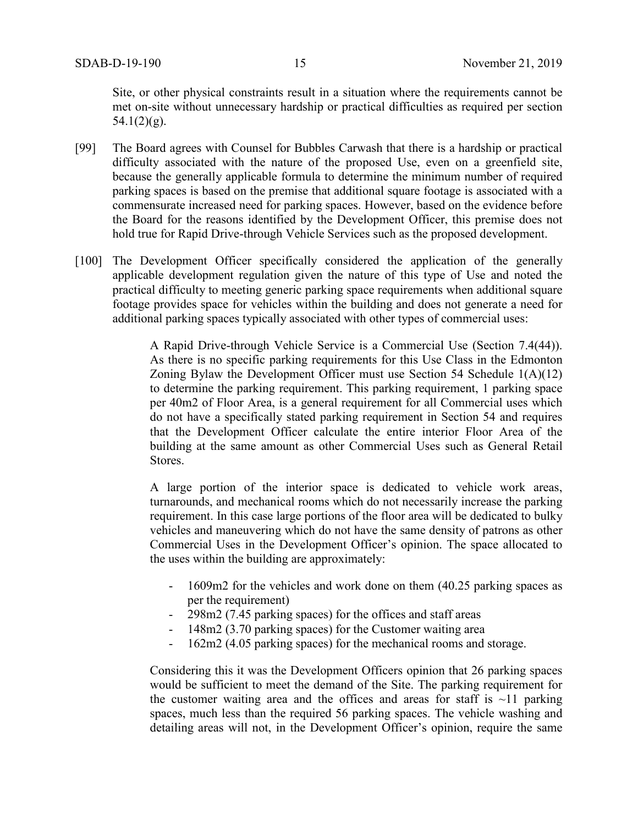Site, or other physical constraints result in a situation where the requirements cannot be met on-site without unnecessary hardship or practical difficulties as required per section  $54.1(2)(g)$ .

- [99] The Board agrees with Counsel for Bubbles Carwash that there is a hardship or practical difficulty associated with the nature of the proposed Use, even on a greenfield site, because the generally applicable formula to determine the minimum number of required parking spaces is based on the premise that additional square footage is associated with a commensurate increased need for parking spaces. However, based on the evidence before the Board for the reasons identified by the Development Officer, this premise does not hold true for Rapid Drive-through Vehicle Services such as the proposed development.
- [100] The Development Officer specifically considered the application of the generally applicable development regulation given the nature of this type of Use and noted the practical difficulty to meeting generic parking space requirements when additional square footage provides space for vehicles within the building and does not generate a need for additional parking spaces typically associated with other types of commercial uses:

A Rapid Drive-through Vehicle Service is a Commercial Use (Section 7.4(44)). As there is no specific parking requirements for this Use Class in the Edmonton Zoning Bylaw the Development Officer must use Section 54 Schedule 1(A)(12) to determine the parking requirement. This parking requirement, 1 parking space per 40m2 of Floor Area, is a general requirement for all Commercial uses which do not have a specifically stated parking requirement in Section 54 and requires that the Development Officer calculate the entire interior Floor Area of the building at the same amount as other Commercial Uses such as General Retail Stores.

A large portion of the interior space is dedicated to vehicle work areas, turnarounds, and mechanical rooms which do not necessarily increase the parking requirement. In this case large portions of the floor area will be dedicated to bulky vehicles and maneuvering which do not have the same density of patrons as other Commercial Uses in the Development Officer's opinion. The space allocated to the uses within the building are approximately:

- 1609m2 for the vehicles and work done on them (40.25 parking spaces as per the requirement)
- 298m2 (7.45 parking spaces) for the offices and staff areas
- 148m2 (3.70 parking spaces) for the Customer waiting area
- 162m2 (4.05 parking spaces) for the mechanical rooms and storage.

Considering this it was the Development Officers opinion that 26 parking spaces would be sufficient to meet the demand of the Site. The parking requirement for the customer waiting area and the offices and areas for staff is  $\sim$ 11 parking spaces, much less than the required 56 parking spaces. The vehicle washing and detailing areas will not, in the Development Officer's opinion, require the same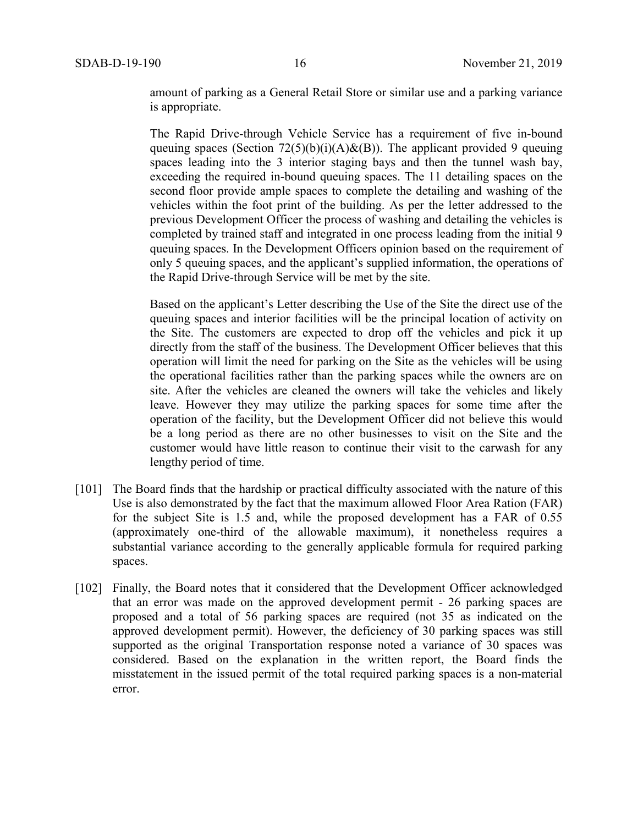amount of parking as a General Retail Store or similar use and a parking variance is appropriate.

The Rapid Drive-through Vehicle Service has a requirement of five in-bound queuing spaces (Section  $72(5)(b)(i)(A) & (B)$ ). The applicant provided 9 queuing spaces leading into the 3 interior staging bays and then the tunnel wash bay, exceeding the required in-bound queuing spaces. The 11 detailing spaces on the second floor provide ample spaces to complete the detailing and washing of the vehicles within the foot print of the building. As per the letter addressed to the previous Development Officer the process of washing and detailing the vehicles is completed by trained staff and integrated in one process leading from the initial 9 queuing spaces. In the Development Officers opinion based on the requirement of only 5 queuing spaces, and the applicant's supplied information, the operations of the Rapid Drive-through Service will be met by the site.

Based on the applicant's Letter describing the Use of the Site the direct use of the queuing spaces and interior facilities will be the principal location of activity on the Site. The customers are expected to drop off the vehicles and pick it up directly from the staff of the business. The Development Officer believes that this operation will limit the need for parking on the Site as the vehicles will be using the operational facilities rather than the parking spaces while the owners are on site. After the vehicles are cleaned the owners will take the vehicles and likely leave. However they may utilize the parking spaces for some time after the operation of the facility, but the Development Officer did not believe this would be a long period as there are no other businesses to visit on the Site and the customer would have little reason to continue their visit to the carwash for any lengthy period of time.

- [101] The Board finds that the hardship or practical difficulty associated with the nature of this Use is also demonstrated by the fact that the maximum allowed Floor Area Ration (FAR) for the subject Site is 1.5 and, while the proposed development has a FAR of 0.55 (approximately one-third of the allowable maximum), it nonetheless requires a substantial variance according to the generally applicable formula for required parking spaces.
- [102] Finally, the Board notes that it considered that the Development Officer acknowledged that an error was made on the approved development permit - 26 parking spaces are proposed and a total of 56 parking spaces are required (not 35 as indicated on the approved development permit). However, the deficiency of 30 parking spaces was still supported as the original Transportation response noted a variance of 30 spaces was considered. Based on the explanation in the written report, the Board finds the misstatement in the issued permit of the total required parking spaces is a non-material error.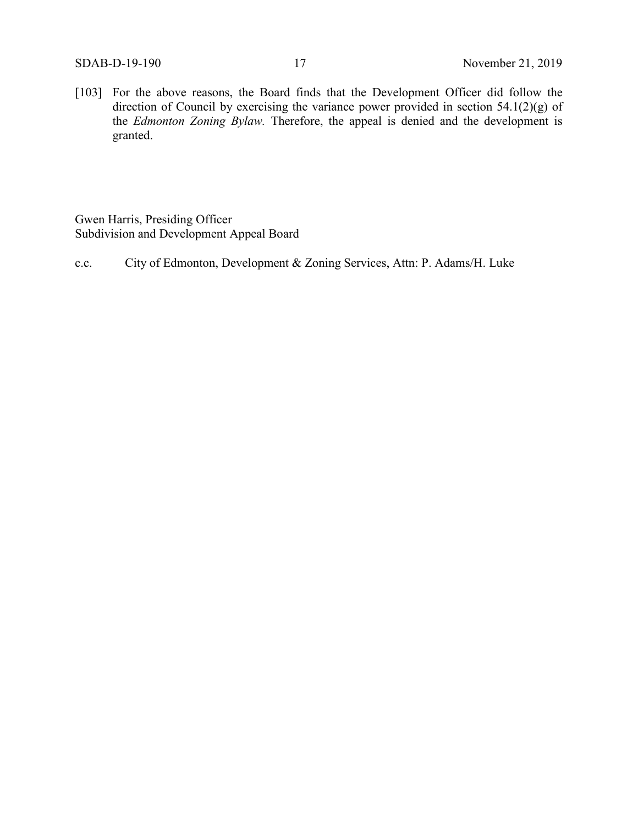[103] For the above reasons, the Board finds that the Development Officer did follow the direction of Council by exercising the variance power provided in section 54.1(2)(g) of the *Edmonton Zoning Bylaw.* Therefore, the appeal is denied and the development is granted.

Gwen Harris, Presiding Officer Subdivision and Development Appeal Board

c.c. City of Edmonton, Development & Zoning Services, Attn: P. Adams/H. Luke